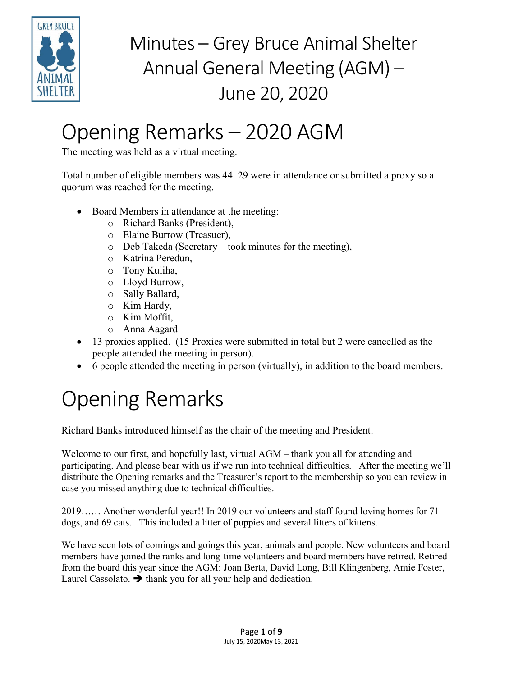

## Opening Remarks – 2020 AGM

The meeting was held as a virtual meeting.

Total number of eligible members was 44. 29 were in attendance or submitted a proxy so a quorum was reached for the meeting.

- Board Members in attendance at the meeting:
	- o Richard Banks (President),
	- o Elaine Burrow (Treasuer),
	- o Deb Takeda (Secretary took minutes for the meeting),
	- o Katrina Peredun,
	- o Tony Kuliha,
	- o Lloyd Burrow,
	- o Sally Ballard,
	- o Kim Hardy,
	- o Kim Moffit,
	- o Anna Aagard
- 13 proxies applied. (15 Proxies were submitted in total but 2 were cancelled as the people attended the meeting in person).
- 6 people attended the meeting in person (virtually), in addition to the board members.

# Opening Remarks

Richard Banks introduced himself as the chair of the meeting and President.

Welcome to our first, and hopefully last, virtual AGM – thank you all for attending and participating. And please bear with us if we run into technical difficulties. After the meeting we'll distribute the Opening remarks and the Treasurer's report to the membership so you can review in case you missed anything due to technical difficulties.

2019…… Another wonderful year!! In 2019 our volunteers and staff found loving homes for 71 dogs, and 69 cats. This included a litter of puppies and several litters of kittens.

We have seen lots of comings and goings this year, animals and people. New volunteers and board members have joined the ranks and long-time volunteers and board members have retired. Retired from the board this year since the AGM: Joan Berta, David Long, Bill Klingenberg, Amie Foster, Laurel Cassolato.  $\rightarrow$  thank you for all your help and dedication.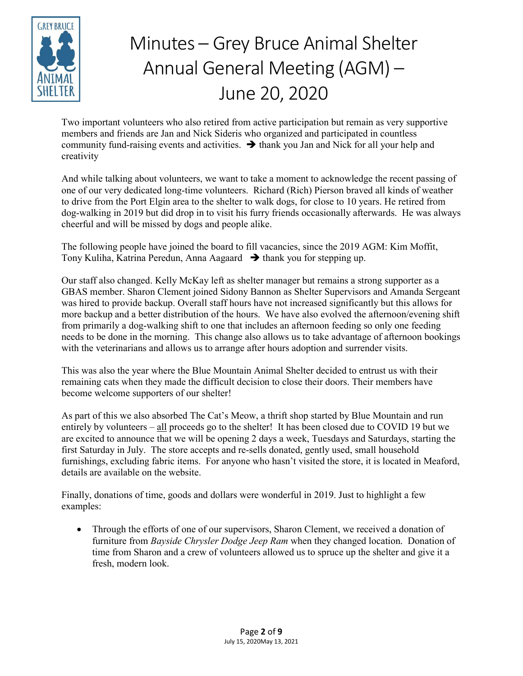

Two important volunteers who also retired from active participation but remain as very supportive members and friends are Jan and Nick Sideris who organized and participated in countless community fund-raising events and activities.  $\rightarrow$  thank you Jan and Nick for all your help and creativity

And while talking about volunteers, we want to take a moment to acknowledge the recent passing of one of our very dedicated long-time volunteers. Richard (Rich) Pierson braved all kinds of weather to drive from the Port Elgin area to the shelter to walk dogs, for close to 10 years. He retired from dog-walking in 2019 but did drop in to visit his furry friends occasionally afterwards. He was always cheerful and will be missed by dogs and people alike.

The following people have joined the board to fill vacancies, since the 2019 AGM: Kim Moffit, Tony Kuliha, Katrina Peredun, Anna Aagaard  $\rightarrow$  thank you for stepping up.

Our staff also changed. Kelly McKay left as shelter manager but remains a strong supporter as a GBAS member. Sharon Clement joined Sidony Bannon as Shelter Supervisors and Amanda Sergeant was hired to provide backup. Overall staff hours have not increased significantly but this allows for more backup and a better distribution of the hours. We have also evolved the afternoon/evening shift from primarily a dog-walking shift to one that includes an afternoon feeding so only one feeding needs to be done in the morning. This change also allows us to take advantage of afternoon bookings with the veterinarians and allows us to arrange after hours adoption and surrender visits.

This was also the year where the Blue Mountain Animal Shelter decided to entrust us with their remaining cats when they made the difficult decision to close their doors. Their members have become welcome supporters of our shelter!

As part of this we also absorbed The Cat's Meow, a thrift shop started by Blue Mountain and run entirely by volunteers – all proceeds go to the shelter! It has been closed due to COVID 19 but we are excited to announce that we will be opening 2 days a week, Tuesdays and Saturdays, starting the first Saturday in July. The store accepts and re-sells donated, gently used, small household furnishings, excluding fabric items. For anyone who hasn't visited the store, it is located in Meaford, details are available on the website.

Finally, donations of time, goods and dollars were wonderful in 2019. Just to highlight a few examples:

• Through the efforts of one of our supervisors, Sharon Clement, we received a donation of furniture from *Bayside Chrysler Dodge Jeep Ram* when they changed location. Donation of time from Sharon and a crew of volunteers allowed us to spruce up the shelter and give it a fresh, modern look.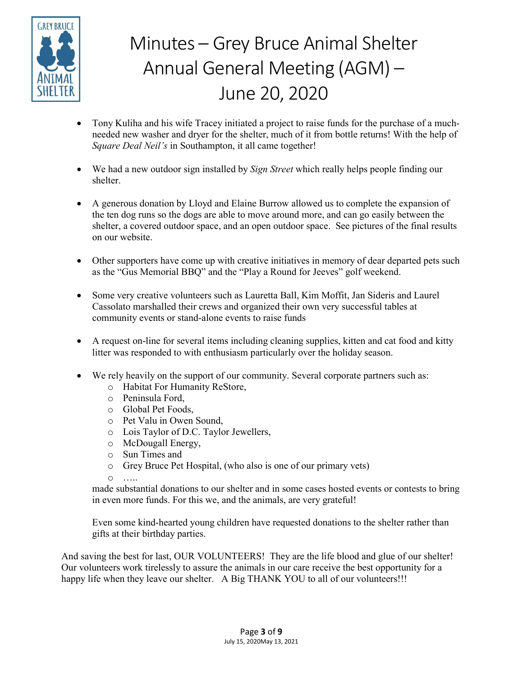

- Tony Kuliha and his wife Tracey initiated a project to raise funds for the purchase of a muchneeded new washer and dryer for the shelter, much of it from bottle returns! With the help of *Square Deal Neil's* in Southampton, it all came together!
- We had a new outdoor sign installed by *Sign Street* which really helps people finding our shelter.
- A generous donation by Lloyd and Elaine Burrow allowed us to complete the expansion of the ten dog runs so the dogs are able to move around more, and can go easily between the shelter, a covered outdoor space, and an open outdoor space. See pictures of the final results on our website.
- Other supporters have come up with creative initiatives in memory of dear departed pets such as the "Gus Memorial BBQ" and the "Play a Round for Jeeves" golf weekend.
- Some very creative volunteers such as Lauretta Ball, Kim Moffit, Jan Sideris and Laurel Cassolato marshalled their crews and organized their own very successful tables at community events or stand-alone events to raise funds
- A request on-line for several items including cleaning supplies, kitten and cat food and kitty litter was responded to with enthusiasm particularly over the holiday season.
- We rely heavily on the support of our community. Several corporate partners such as:
	- o Habitat For Humanity ReStore,
	- o Peninsula Ford,
	- o Global Pet Foods,
	- o Pet Valu in Owen Sound,
	- o Lois Taylor of D.C. Taylor Jewellers,
	- o McDougall Energy,
	- o Sun Times and
	- o Grey Bruce Pet Hospital, (who also is one of our primary vets)

o …..

made substantial donations to our shelter and in some cases hosted events or contests to bring in even more funds. For this we, and the animals, are very grateful!

Even some kind-hearted young children have requested donations to the shelter rather than gifts at their birthday parties.

And saving the best for last, OUR VOLUNTEERS! They are the life blood and glue of our shelter! Our volunteers work tirelessly to assure the animals in our care receive the best opportunity for a happy life when they leave our shelter. A Big THANK YOU to all of our volunteers!!!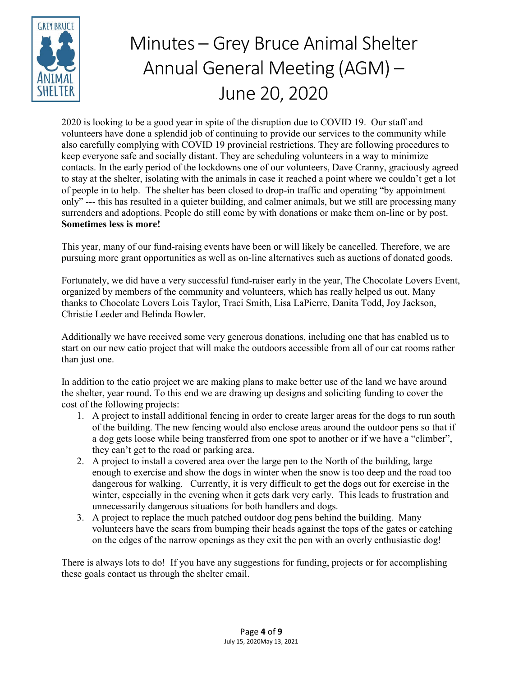

2020 is looking to be a good year in spite of the disruption due to COVID 19. Our staff and volunteers have done a splendid job of continuing to provide our services to the community while also carefully complying with COVID 19 provincial restrictions. They are following procedures to keep everyone safe and socially distant. They are scheduling volunteers in a way to minimize contacts. In the early period of the lockdowns one of our volunteers, Dave Cranny, graciously agreed to stay at the shelter, isolating with the animals in case it reached a point where we couldn't get a lot of people in to help. The shelter has been closed to drop-in traffic and operating "by appointment only" --- this has resulted in a quieter building, and calmer animals, but we still are processing many surrenders and adoptions. People do still come by with donations or make them on-line or by post. **Sometimes less is more!**

This year, many of our fund-raising events have been or will likely be cancelled. Therefore, we are pursuing more grant opportunities as well as on-line alternatives such as auctions of donated goods.

Fortunately, we did have a very successful fund-raiser early in the year, The Chocolate Lovers Event, organized by members of the community and volunteers, which has really helped us out. Many thanks to Chocolate Lovers Lois Taylor, Traci Smith, Lisa LaPierre, Danita Todd, Joy Jackson, Christie Leeder and Belinda Bowler.

Additionally we have received some very generous donations, including one that has enabled us to start on our new catio project that will make the outdoors accessible from all of our cat rooms rather than just one.

In addition to the catio project we are making plans to make better use of the land we have around the shelter, year round. To this end we are drawing up designs and soliciting funding to cover the cost of the following projects:

- 1. A project to install additional fencing in order to create larger areas for the dogs to run south of the building. The new fencing would also enclose areas around the outdoor pens so that if a dog gets loose while being transferred from one spot to another or if we have a "climber", they can't get to the road or parking area.
- 2. A project to install a covered area over the large pen to the North of the building, large enough to exercise and show the dogs in winter when the snow is too deep and the road too dangerous for walking. Currently, it is very difficult to get the dogs out for exercise in the winter, especially in the evening when it gets dark very early. This leads to frustration and unnecessarily dangerous situations for both handlers and dogs.
- 3. A project to replace the much patched outdoor dog pens behind the building. Many volunteers have the scars from bumping their heads against the tops of the gates or catching on the edges of the narrow openings as they exit the pen with an overly enthusiastic dog!

There is always lots to do! If you have any suggestions for funding, projects or for accomplishing these goals contact us through the shelter email.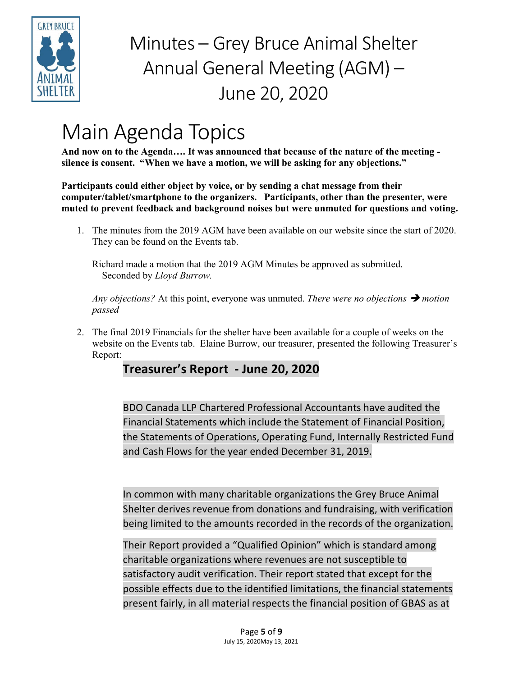

### Main Agenda Topics

**And now on to the Agenda…. It was announced that because of the nature of the meeting silence is consent. "When we have a motion, we will be asking for any objections."** 

**Participants could either object by voice, or by sending a chat message from their computer/tablet/smartphone to the organizers. Participants, other than the presenter, were muted to prevent feedback and background noises but were unmuted for questions and voting.**

1. The minutes from the 2019 AGM have been available on our website since the start of 2020. They can be found on the Events tab.

Richard made a motion that the 2019 AGM Minutes be approved as submitted. Seconded by *Lloyd Burrow.*

*Any objections?* At this point, everyone was unmuted. *There were no objections*  $\rightarrow$  *motion passed*

2. The final 2019 Financials for the shelter have been available for a couple of weeks on the website on the Events tab. Elaine Burrow, our treasurer, presented the following Treasurer's Report:

### **Treasurer's Report - June 20, 2020**

BDO Canada LLP Chartered Professional Accountants have audited the Financial Statements which include the Statement of Financial Position, the Statements of Operations, Operating Fund, Internally Restricted Fund and Cash Flows for the year ended December 31, 2019.

In common with many charitable organizations the Grey Bruce Animal Shelter derives revenue from donations and fundraising, with verification being limited to the amounts recorded in the records of the organization.

Their Report provided a "Qualified Opinion" which is standard among charitable organizations where revenues are not susceptible to satisfactory audit verification. Their report stated that except for the possible effects due to the identified limitations, the financial statements present fairly, in all material respects the financial position of GBAS as at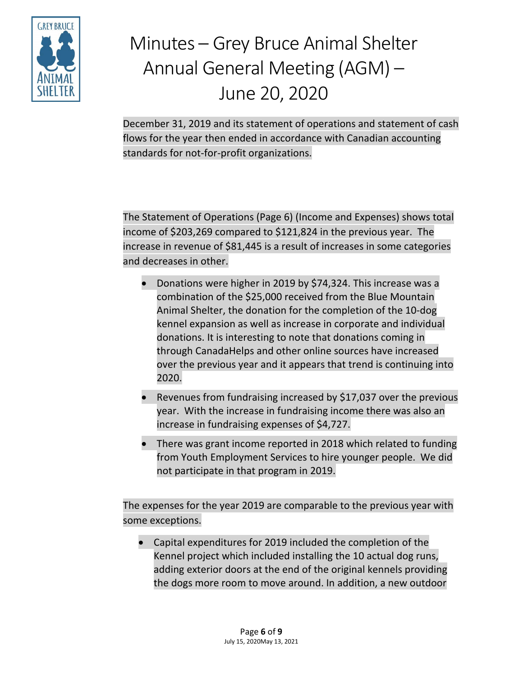

December 31, 2019 and its statement of operations and statement of cash flows for the year then ended in accordance with Canadian accounting standards for not-for-profit organizations.

The Statement of Operations (Page 6) (Income and Expenses) shows total income of \$203,269 compared to \$121,824 in the previous year. The increase in revenue of \$81,445 is a result of increases in some categories and decreases in other.

- Donations were higher in 2019 by \$74,324. This increase was a combination of the \$25,000 received from the Blue Mountain Animal Shelter, the donation for the completion of the 10-dog kennel expansion as well as increase in corporate and individual donations. It is interesting to note that donations coming in through CanadaHelps and other online sources have increased over the previous year and it appears that trend is continuing into 2020.
- Revenues from fundraising increased by \$17,037 over the previous year. With the increase in fundraising income there was also an increase in fundraising expenses of \$4,727.
- There was grant income reported in 2018 which related to funding from Youth Employment Services to hire younger people. We did not participate in that program in 2019.

The expenses for the year 2019 are comparable to the previous year with some exceptions.

• Capital expenditures for 2019 included the completion of the Kennel project which included installing the 10 actual dog runs, adding exterior doors at the end of the original kennels providing the dogs more room to move around. In addition, a new outdoor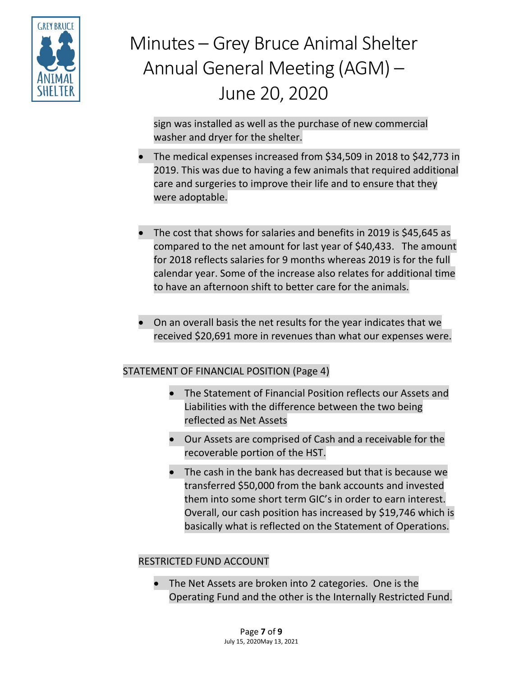

sign was installed as well as the purchase of new commercial washer and dryer for the shelter.

- The medical expenses increased from \$34,509 in 2018 to \$42,773 in 2019. This was due to having a few animals that required additional care and surgeries to improve their life and to ensure that they were adoptable.
- The cost that shows for salaries and benefits in 2019 is \$45,645 as compared to the net amount for last year of \$40,433. The amount for 2018 reflects salaries for 9 months whereas 2019 is for the full calendar year. Some of the increase also relates for additional time to have an afternoon shift to better care for the animals.
- On an overall basis the net results for the year indicates that we received \$20,691 more in revenues than what our expenses were.

### STATEMENT OF FINANCIAL POSITION (Page 4)

- The Statement of Financial Position reflects our Assets and Liabilities with the difference between the two being reflected as Net Assets
- Our Assets are comprised of Cash and a receivable for the recoverable portion of the HST.
- The cash in the bank has decreased but that is because we transferred \$50,000 from the bank accounts and invested them into some short term GIC's in order to earn interest. Overall, our cash position has increased by \$19,746 which is basically what is reflected on the Statement of Operations.

#### RESTRICTED FUND ACCOUNT

• The Net Assets are broken into 2 categories. One is the Operating Fund and the other is the Internally Restricted Fund.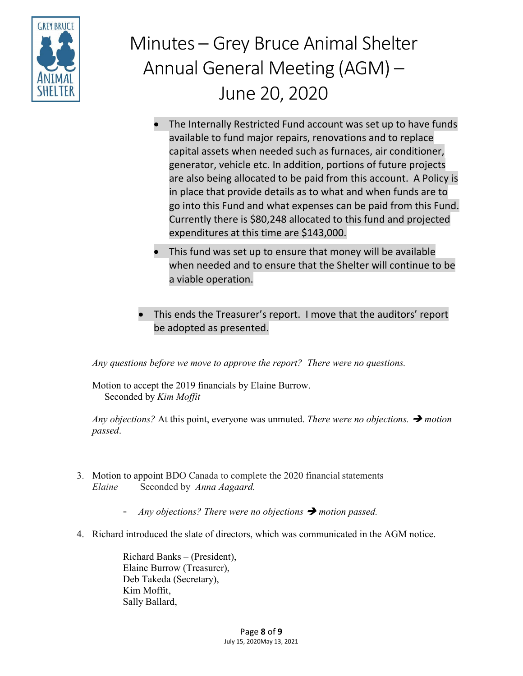

- The Internally Restricted Fund account was set up to have funds available to fund major repairs, renovations and to replace capital assets when needed such as furnaces, air conditioner, generator, vehicle etc. In addition, portions of future projects are also being allocated to be paid from this account. A Policy is in place that provide details as to what and when funds are to go into this Fund and what expenses can be paid from this Fund. Currently there is \$80,248 allocated to this fund and projected expenditures at this time are \$143,000.
- This fund was set up to ensure that money will be available when needed and to ensure that the Shelter will continue to be a viable operation.
- This ends the Treasurer's report. I move that the auditors' report be adopted as presented.

*Any questions before we move to approve the report? There were no questions.*

Motion to accept the 2019 financials by Elaine Burrow. Seconded by *Kim Moffit*

*Any objections?* At this point, everyone was unmuted. *There were no objections. motion passed*.

- 3. Motion to appoint BDO Canada to complete the 2020 financial statements *Elaine* Seconded by *Anna Aagaard.*
	- *Any objections? There were no objections motion passed.*
- 4. Richard introduced the slate of directors, which was communicated in the AGM notice.

Richard Banks – (President), Elaine Burrow (Treasurer), Deb Takeda (Secretary), Kim Moffit, Sally Ballard,